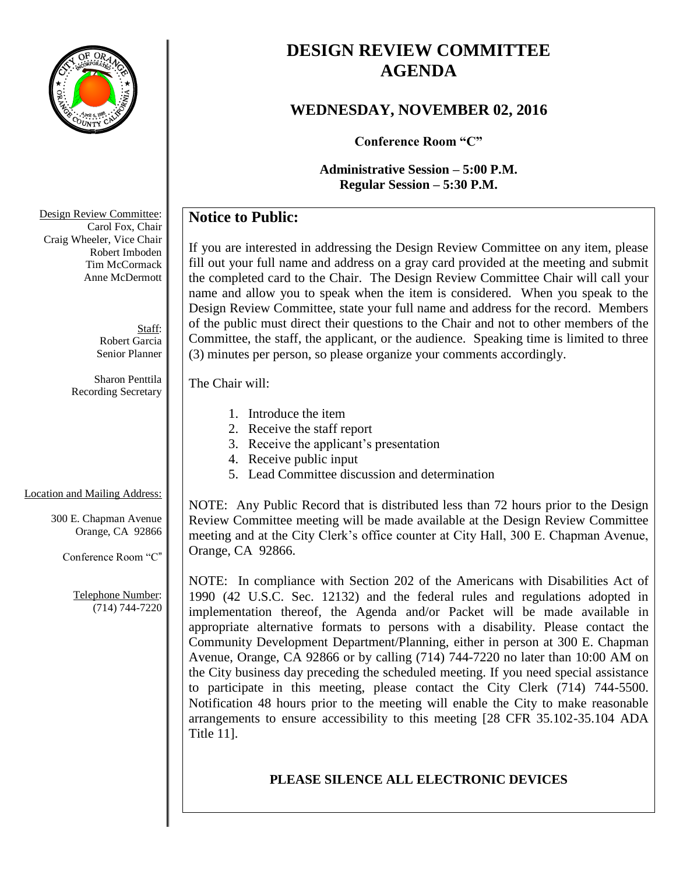

# **DESIGN REVIEW COMMITTEE AGENDA**

## **WEDNESDAY, NOVEMBER 02, 2016**

**Conference Room "C"**

**Administrative Session – 5:00 P.M. Regular Session – 5:30 P.M.**

## **Notice to Public:**

If you are interested in addressing the Design Review Committee on any item, please fill out your full name and address on a gray card provided at the meeting and submit the completed card to the Chair. The Design Review Committee Chair will call your name and allow you to speak when the item is considered. When you speak to the Design Review Committee, state your full name and address for the record. Members of the public must direct their questions to the Chair and not to other members of the Committee, the staff, the applicant, or the audience. Speaking time is limited to three (3) minutes per person, so please organize your comments accordingly.

#### The Chair will:

- 1. Introduce the item
- 2. Receive the staff report
- 3. Receive the applicant's presentation
- 4. Receive public input
- 5. Lead Committee discussion and determination

### Location and Mailing Address:

300 E. Chapman Avenue Orange, CA 92866

Conference Room "C"

Telephone Number: (714) 744-7220

NOTE: Any Public Record that is distributed less than 72 hours prior to the Design Review Committee meeting will be made available at the Design Review Committee meeting and at the City Clerk's office counter at City Hall, 300 E. Chapman Avenue, Orange, CA 92866.

NOTE: In compliance with Section 202 of the Americans with Disabilities Act of 1990 (42 U.S.C. Sec. 12132) and the federal rules and regulations adopted in implementation thereof, the Agenda and/or Packet will be made available in appropriate alternative formats to persons with a disability. Please contact the Community Development Department/Planning, either in person at 300 E. Chapman Avenue, Orange, CA 92866 or by calling (714) 744-7220 no later than 10:00 AM on the City business day preceding the scheduled meeting. If you need special assistance to participate in this meeting, please contact the City Clerk (714) 744-5500. Notification 48 hours prior to the meeting will enable the City to make reasonable arrangements to ensure accessibility to this meeting [28 CFR 35.102-35.104 ADA Title 11].

### **PLEASE SILENCE ALL ELECTRONIC DEVICES**

Design Review Committee: Carol Fox, Chair Craig Wheeler, Vice Chair Robert Imboden Tim McCormack Anne McDermott

> Staff: Robert Garcia Senior Planner

Sharon Penttila Recording Secretary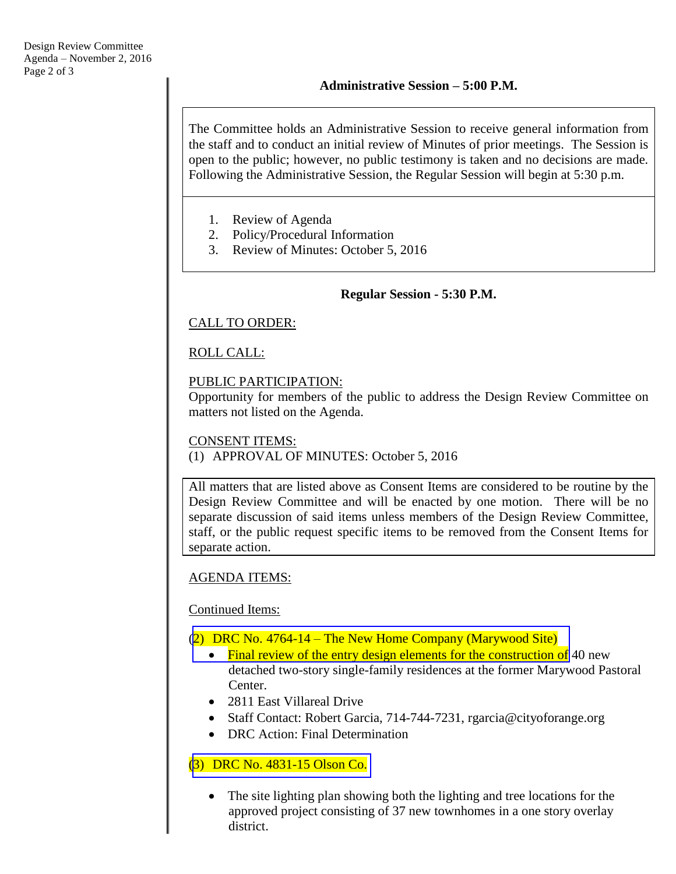The Committee holds an Administrative Session to receive general information from the staff and to conduct an initial review of Minutes of prior meetings. The Session is open to the public; however, no public testimony is taken and no decisions are made. Following the Administrative Session, the Regular Session will begin at 5:30 p.m.

- 1. Review of Agenda
- 2. Policy/Procedural Information
- 3. Review of Minutes: October 5, 2016

#### **Regular Session - 5:30 P.M.**

### CALL TO ORDER:

### ROLL CALL:

#### PUBLIC PARTICIPATION:

Opportunity for members of the public to address the Design Review Committee on matters not listed on the Agenda.

#### CONSENT ITEMS:

(1) APPROVAL OF MINUTES: October 5, 2016

All matters that are listed above as Consent Items are considered to be routine by the Design Review Committee and will be enacted by one motion. There will be no separate discussion of said items unless members of the Design Review Committee, staff, or the public request specific items to be removed from the Consent Items for separate action.

### AGENDA ITEMS:

#### Continued Items:

#### (2) DRC No. 4764-14 – The New Home Company (Marywood Site)

- [Final review of the entry design elements for the construction of](http://www.cityoforange.org/civicax/filebank/blobdload.aspx?BlobID=18454) 40 new detached two-story single-family residences at the former Marywood Pastoral Center.
- 2811 East Villareal Drive
- Staff Contact: Robert Garcia, 714-744-7231, rgarcia@cityoforange.org
- DRC Action: Final Determination

### (3) DRC No. [4831-15 Olson Co.](http://www.cityoforange.org/civicax/filebank/blobdload.aspx?BlobID=18455)

• The site lighting plan showing both the lighting and tree locations for the approved project consisting of 37 new townhomes in a one story overlay district.